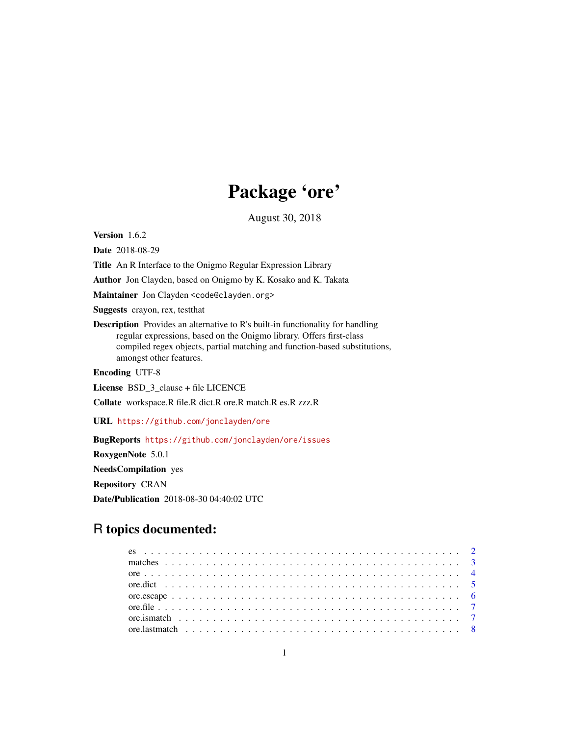# Package 'ore'

August 30, 2018

<span id="page-0-0"></span>Version 1.6.2

Date 2018-08-29

Title An R Interface to the Onigmo Regular Expression Library

Author Jon Clayden, based on Onigmo by K. Kosako and K. Takata

Maintainer Jon Clayden <code@clayden.org>

Suggests crayon, rex, testthat

Description Provides an alternative to R's built-in functionality for handling regular expressions, based on the Onigmo library. Offers first-class compiled regex objects, partial matching and function-based substitutions, amongst other features.

Encoding UTF-8

License BSD\_3\_clause + file LICENCE

Collate workspace.R file.R dict.R ore.R match.R es.R zzz.R

URL <https://github.com/jonclayden/ore>

BugReports <https://github.com/jonclayden/ore/issues>

RoxygenNote 5.0.1 NeedsCompilation yes Repository CRAN

Date/Publication 2018-08-30 04:40:02 UTC

# R topics documented: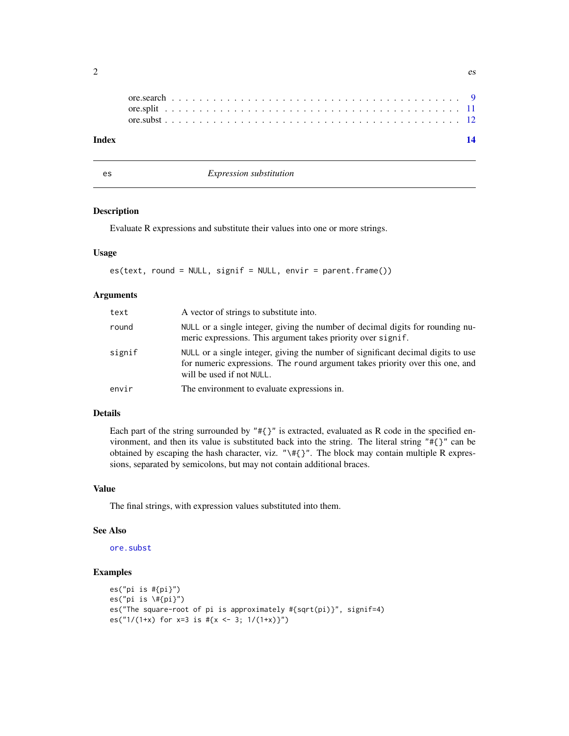<span id="page-1-0"></span>

| Index |  |  |  |  |  |  |  |  |  |  |  |  |  |  |  |  |  |  |  |  |
|-------|--|--|--|--|--|--|--|--|--|--|--|--|--|--|--|--|--|--|--|--|
|       |  |  |  |  |  |  |  |  |  |  |  |  |  |  |  |  |  |  |  |  |
|       |  |  |  |  |  |  |  |  |  |  |  |  |  |  |  |  |  |  |  |  |

es *Expression substitution*

# Description

Evaluate R expressions and substitute their values into one or more strings.

## Usage

es(text, round = NULL, signif = NULL, envir = parent.frame())

# Arguments

| text   | A vector of strings to substitute into.                                                                                                                                                        |
|--------|------------------------------------------------------------------------------------------------------------------------------------------------------------------------------------------------|
| round  | NULL or a single integer, giving the number of decimal digits for rounding nu-<br>meric expressions. This argument takes priority over signif.                                                 |
| signif | NULL or a single integer, giving the number of significant decimal digits to use<br>for numeric expressions. The round argument takes priority over this one, and<br>will be used if not NULL. |
| envir  | The environment to evaluate expressions in.                                                                                                                                                    |
|        |                                                                                                                                                                                                |

# Details

Each part of the string surrounded by " $\# {\}^y$ " is extracted, evaluated as R code in the specified environment, and then its value is substituted back into the string. The literal string "#{}" can be obtained by escaping the hash character, viz. " $\setminus \{f\}'$ . The block may contain multiple R expressions, separated by semicolons, but may not contain additional braces.

# Value

The final strings, with expression values substituted into them.

# See Also

[ore.subst](#page-11-1)

# Examples

```
es("pi is #{pi}")
es("pi is \#{pi}")
es("The square-root of pi is approximately #{sqrt(pi)}", signif=4)
es("1/(1+x) for x=3 is #{x \le -3; 1/(1+x)}")
```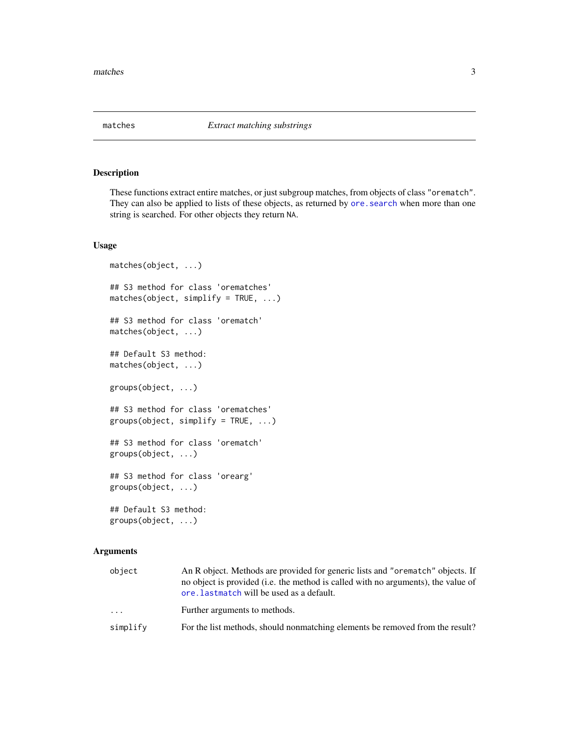<span id="page-2-1"></span><span id="page-2-0"></span>

# <span id="page-2-2"></span>Description

These functions extract entire matches, or just subgroup matches, from objects of class "orematch". They can also be applied to lists of these objects, as returned by ore. search when more than one string is searched. For other objects they return NA.

# Usage

```
matches(object, ...)
## S3 method for class 'orematches'
matches(object, simplify = TRUE, ...)## S3 method for class 'orematch'
matches(object, ...)
## Default S3 method:
matches(object, ...)
groups(object, ...)
## S3 method for class 'orematches'
groups(object, simplify = TRUE, ...)## S3 method for class 'orematch'
groups(object, ...)
## S3 method for class 'orearg'
groups(object, ...)
## Default S3 method:
groups(object, ...)
```

| object   | An R object. Methods are provided for generic lists and "orematch" objects. If<br>no object is provided (i.e. the method is called with no arguments), the value of<br>ore. lastmatch will be used as a default. |
|----------|------------------------------------------------------------------------------------------------------------------------------------------------------------------------------------------------------------------|
| .        | Further arguments to methods.                                                                                                                                                                                    |
| simplify | For the list methods, should nonmatching elements be removed from the result?                                                                                                                                    |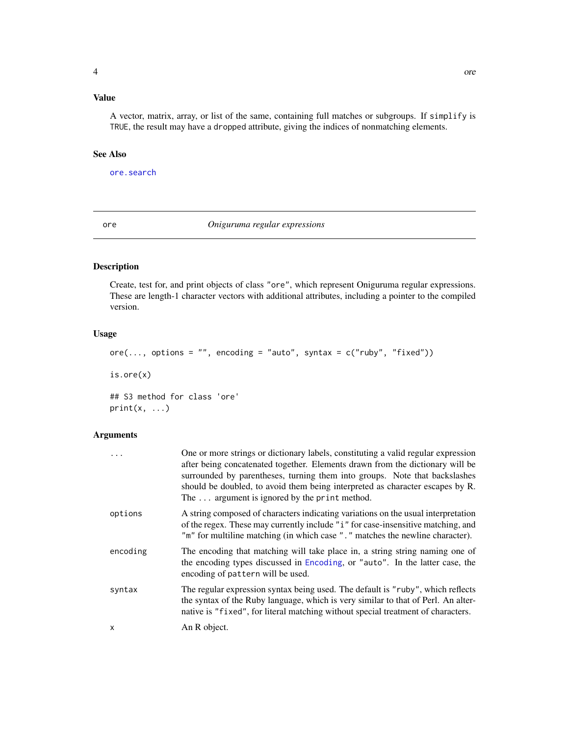# <span id="page-3-0"></span>Value

A vector, matrix, array, or list of the same, containing full matches or subgroups. If simplify is TRUE, the result may have a dropped attribute, giving the indices of nonmatching elements.

# See Also

[ore.search](#page-8-1)

<span id="page-3-1"></span>ore *Oniguruma regular expressions*

# Description

Create, test for, and print objects of class "ore", which represent Oniguruma regular expressions. These are length-1 character vectors with additional attributes, including a pointer to the compiled version.

# Usage

 $ore(..., options = "", encoding = "auto", syntax = c("ruby", "fixed"))$ is.ore(x) ## S3 method for class 'ore'  $print(x, \ldots)$ 

| $\ddots$ | One or more strings or dictionary labels, constituting a valid regular expression<br>after being concatenated together. Elements drawn from the dictionary will be<br>surrounded by parentheses, turning them into groups. Note that backslashes<br>should be doubled, to avoid them being interpreted as character escapes by R.<br>The $\ldots$ argument is ignored by the print method. |
|----------|--------------------------------------------------------------------------------------------------------------------------------------------------------------------------------------------------------------------------------------------------------------------------------------------------------------------------------------------------------------------------------------------|
| options  | A string composed of characters indicating variations on the usual interpretation<br>of the regex. These may currently include "i" for case-insensitive matching, and<br>"m" for multiline matching (in which case "." matches the newline character).                                                                                                                                     |
| encoding | The encoding that matching will take place in, a string string naming one of<br>the encoding types discussed in Encoding, or "auto". In the latter case, the<br>encoding of pattern will be used.                                                                                                                                                                                          |
| syntax   | The regular expression syntax being used. The default is "ruby", which reflects<br>the syntax of the Ruby language, which is very similar to that of Perl. An alter-<br>native is "fixed", for literal matching without special treatment of characters.                                                                                                                                   |
| x        | An R object.                                                                                                                                                                                                                                                                                                                                                                               |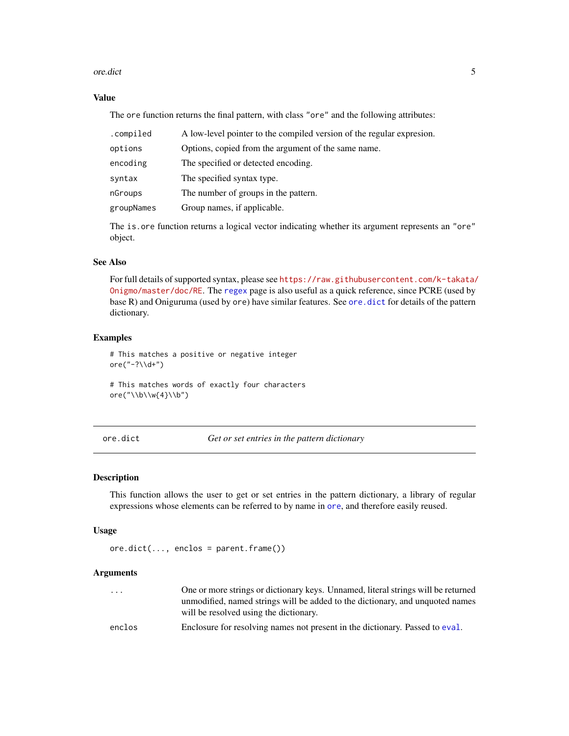#### <span id="page-4-0"></span>ore.dict 5

# Value

The ore function returns the final pattern, with class "ore" and the following attributes:

| .compiled  | A low-level pointer to the compiled version of the regular expresion. |
|------------|-----------------------------------------------------------------------|
| options    | Options, copied from the argument of the same name.                   |
| encoding   | The specified or detected encoding.                                   |
| syntax     | The specified syntax type.                                            |
| nGroups    | The number of groups in the pattern.                                  |
| groupNames | Group names, if applicable.                                           |

The is.ore function returns a logical vector indicating whether its argument represents an "ore" object.

# See Also

For full details of supported syntax, please see [https://raw.githubusercontent.com/k-takata/](https://raw.githubusercontent.com/k-takata/Onigmo/master/doc/RE) [Onigmo/master/doc/RE](https://raw.githubusercontent.com/k-takata/Onigmo/master/doc/RE). The [regex](#page-0-0) page is also useful as a quick reference, since PCRE (used by base R) and Oniguruma (used by ore) have similar features. See [ore.dict](#page-4-1) for details of the pattern dictionary.

### Examples

# This matches a positive or negative integer ore("-? $\ldots$ )

# This matches words of exactly four characters ore("\\b\\w{4}\\b")

<span id="page-4-1"></span>ore.dict *Get or set entries in the pattern dictionary*

## Description

This function allows the user to get or set entries in the pattern dictionary, a library of regular expressions whose elements can be referred to by name in [ore](#page-3-1), and therefore easily reused.

# Usage

ore.dict(..., enclos = parent.frame())

| $\cdot$ $\cdot$ $\cdot$ | One or more strings or dictionary keys. Unnamed, literal strings will be returned |
|-------------------------|-----------------------------------------------------------------------------------|
|                         | unmodified, named strings will be added to the dictionary, and unquoted names     |
|                         | will be resolved using the dictionary.                                            |
| enclos                  | Enclosure for resolving names not present in the dictionary. Passed to eval.      |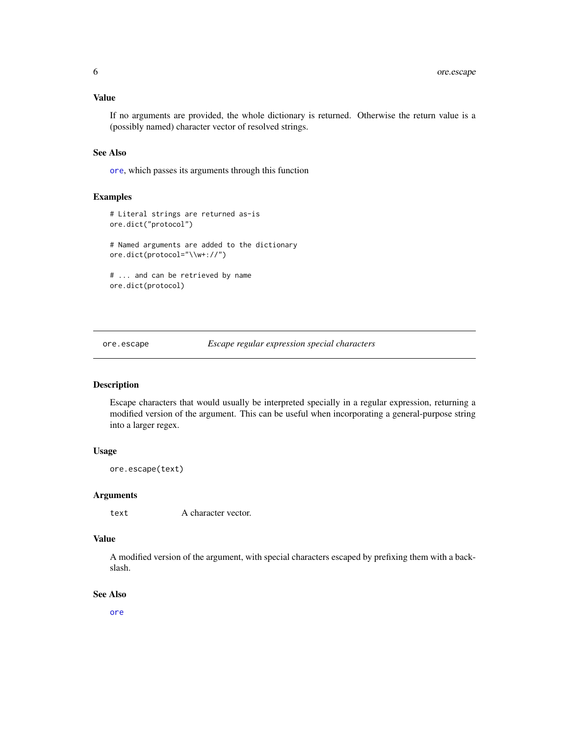### <span id="page-5-0"></span>Value

If no arguments are provided, the whole dictionary is returned. Otherwise the return value is a (possibly named) character vector of resolved strings.

# See Also

[ore](#page-3-1), which passes its arguments through this function

#### Examples

```
# Literal strings are returned as-is
ore.dict("protocol")
# Named arguments are added to the dictionary
ore.dict(protocol="\\w+://")
# ... and can be retrieved by name
ore.dict(protocol)
```
ore.escape *Escape regular expression special characters*

# Description

Escape characters that would usually be interpreted specially in a regular expression, returning a modified version of the argument. This can be useful when incorporating a general-purpose string into a larger regex.

# Usage

ore.escape(text)

# Arguments

text A character vector.

#### Value

A modified version of the argument, with special characters escaped by prefixing them with a backslash.

# See Also

[ore](#page-3-1)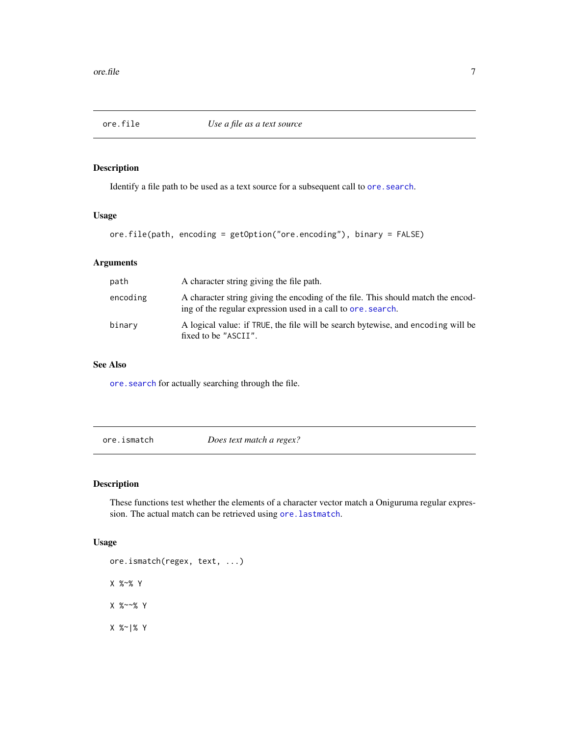<span id="page-6-1"></span><span id="page-6-0"></span>

# Description

Identify a file path to be used as a text source for a subsequent call to ore. search.

# Usage

```
ore.file(path, encoding = getOption("ore.encoding"), binary = FALSE)
```
# Arguments

| path     | A character string giving the file path.                                                                                                         |
|----------|--------------------------------------------------------------------------------------------------------------------------------------------------|
| encoding | A character string giving the encoding of the file. This should match the encod-<br>ing of the regular expression used in a call to ore, search. |
| binary   | A logical value: if TRUE, the file will be search bytewise, and encoding will be<br>fixed to be "ASCII".                                         |

# See Also

[ore.search](#page-8-1) for actually searching through the file.

ore.ismatch *Does text match a regex?*

# Description

These functions test whether the elements of a character vector match a Oniguruma regular expression. The actual match can be retrieved using [ore.lastmatch](#page-7-1).

# Usage

ore.ismatch(regex, text, ...) X %~% Y X %~~% Y X %~|% Y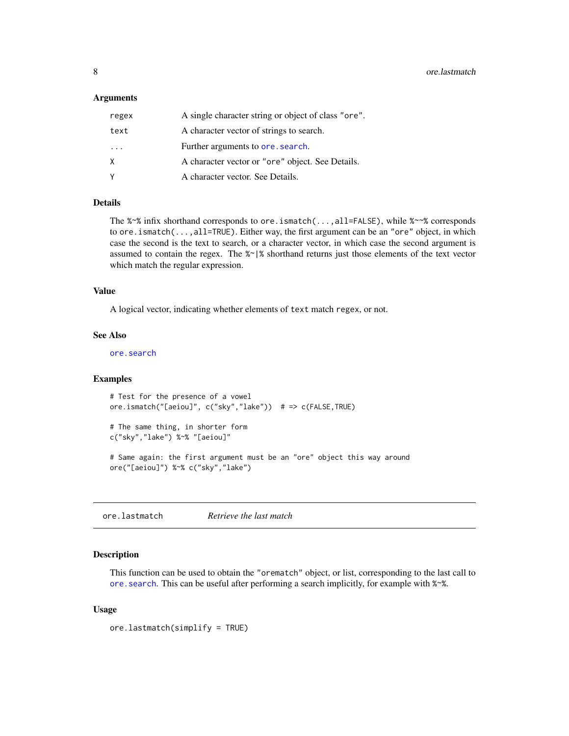## <span id="page-7-0"></span>Arguments

| regex    | A single character string or object of class "ore". |
|----------|-----------------------------------------------------|
| text     | A character vector of strings to search.            |
| $\cdots$ | Further arguments to ore, search.                   |
| X        | A character vector or "ore" object. See Details.    |
| Υ        | A character vector. See Details.                    |

# Details

The %~% infix shorthand corresponds to ore.ismatch(...,all=FALSE), while %~~% corresponds to ore.ismatch(...,all=TRUE). Either way, the first argument can be an "ore" object, in which case the second is the text to search, or a character vector, in which case the second argument is assumed to contain the regex. The %~|% shorthand returns just those elements of the text vector which match the regular expression.

# Value

A logical vector, indicating whether elements of text match regex, or not.

#### See Also

[ore.search](#page-8-1)

# Examples

```
# Test for the presence of a vowel
ore.ismatch("[aeiou]", c("sky","lake")) # => c(FALSE,TRUE)
# The same thing, in shorter form
c("sky","lake") %~% "[aeiou]"
# Same again: the first argument must be an "ore" object this way around
ore("[aeiou]") %~% c("sky","lake")
```
<span id="page-7-1"></span>ore.lastmatch *Retrieve the last match*

#### Description

This function can be used to obtain the "orematch" object, or list, corresponding to the last call to ore. search. This can be useful after performing a search implicitly, for example with  $\alpha$ %.

#### Usage

ore.lastmatch(simplify = TRUE)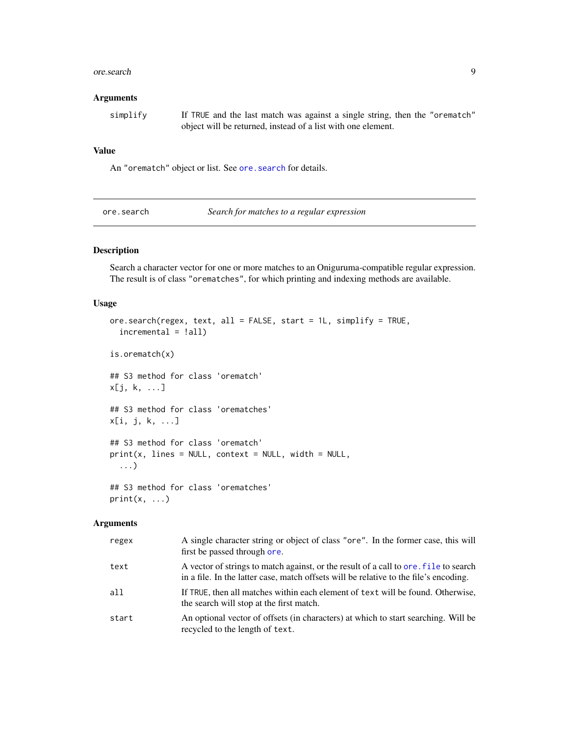#### <span id="page-8-0"></span>ore.search 9

#### Arguments

simplify If TRUE and the last match was against a single string, then the "orematch" object will be returned, instead of a list with one element.

## Value

An "orematch" object or list. See [ore.search](#page-8-1) for details.

<span id="page-8-1"></span>ore.search *Search for matches to a regular expression*

# Description

Search a character vector for one or more matches to an Oniguruma-compatible regular expression. The result is of class "orematches", for which printing and indexing methods are available.

# Usage

```
ore.search(regex, text, all = FALSE, start = 1L, simplify = TRUE,
  incremental = !all)
is.orematch(x)
## S3 method for class 'orematch'
x[j, k, ...]
## S3 method for class 'orematches'
x[i, j, k, ...]
## S3 method for class 'orematch'
print(x, lines = NULL, context = NULL, width = NULL,
  ...)
## S3 method for class 'orematches'
print(x, \ldots)
```

| regex | A single character string or object of class "ore". In the former case, this will<br>first be passed through ore.                                                             |
|-------|-------------------------------------------------------------------------------------------------------------------------------------------------------------------------------|
| text  | A vector of strings to match against, or the result of a call to ore. File to search<br>in a file. In the latter case, match offsets will be relative to the file's encoding. |
| all   | If TRUE, then all matches within each element of text will be found. Otherwise,<br>the search will stop at the first match.                                                   |
| start | An optional vector of offsets (in characters) at which to start searching. Will be<br>recycled to the length of text.                                                         |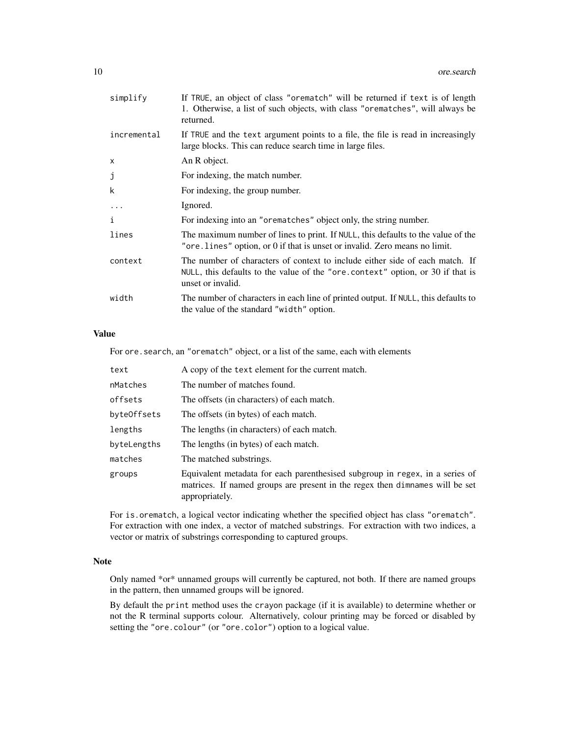| simplify    | If TRUE, an object of class "orematch" will be returned if text is of length<br>1. Otherwise, a list of such objects, with class "orematches", will always be<br>returned.          |
|-------------|-------------------------------------------------------------------------------------------------------------------------------------------------------------------------------------|
| incremental | If TRUE and the text argument points to a file, the file is read in increasingly<br>large blocks. This can reduce search time in large files.                                       |
| X           | An R object.                                                                                                                                                                        |
| j           | For indexing, the match number.                                                                                                                                                     |
| k           | For indexing, the group number.                                                                                                                                                     |
| $\cdots$    | Ignored.                                                                                                                                                                            |
| i           | For indexing into an "orematches" object only, the string number.                                                                                                                   |
| lines       | The maximum number of lines to print. If NULL, this defaults to the value of the<br>"ore. lines" option, or 0 if that is unset or invalid. Zero means no limit.                     |
| context     | The number of characters of context to include either side of each match. If<br>NULL, this defaults to the value of the "ore context" option, or 30 if that is<br>unset or invalid. |
| width       | The number of characters in each line of printed output. If NULL, this defaults to<br>the value of the standard "width" option.                                                     |
|             |                                                                                                                                                                                     |

# Value

For ore.search, an "orematch" object, or a list of the same, each with elements

| text        | A copy of the text element for the current match.                                                                                                                              |
|-------------|--------------------------------------------------------------------------------------------------------------------------------------------------------------------------------|
| nMatches    | The number of matches found.                                                                                                                                                   |
| offsets     | The offsets (in characters) of each match.                                                                                                                                     |
| byteOffsets | The offsets (in bytes) of each match.                                                                                                                                          |
| lengths     | The lengths (in characters) of each match.                                                                                                                                     |
| byteLengths | The lengths (in bytes) of each match.                                                                                                                                          |
| matches     | The matched substrings.                                                                                                                                                        |
| groups      | Equivalent metadata for each parenthesised subgroup in regex, in a series of<br>matrices. If named groups are present in the regex then dimnames will be set<br>appropriately. |

For is.orematch, a logical vector indicating whether the specified object has class "orematch". For extraction with one index, a vector of matched substrings. For extraction with two indices, a vector or matrix of substrings corresponding to captured groups.

#### Note

Only named \*or\* unnamed groups will currently be captured, not both. If there are named groups in the pattern, then unnamed groups will be ignored.

By default the print method uses the crayon package (if it is available) to determine whether or not the R terminal supports colour. Alternatively, colour printing may be forced or disabled by setting the "ore.colour" (or "ore.color") option to a logical value.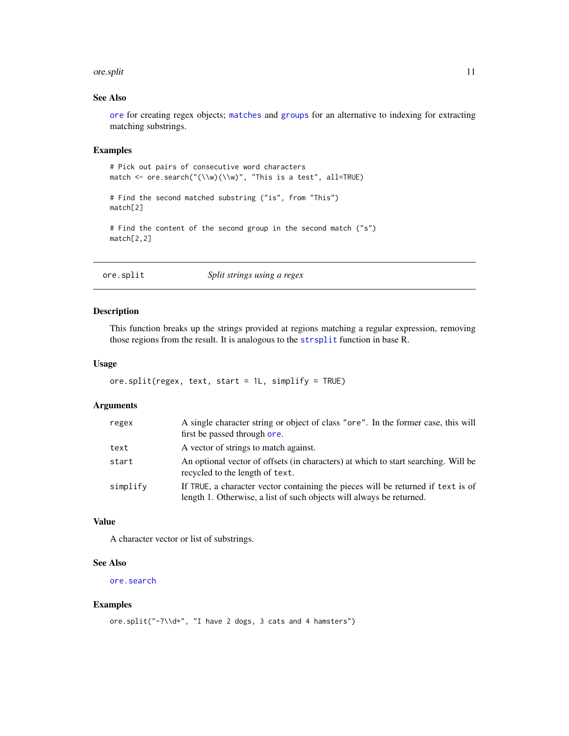#### <span id="page-10-0"></span>ore.split that the contract of the contract of the contract of the contract of the contract of the contract of the contract of the contract of the contract of the contract of the contract of the contract of the contract of

# See Also

[ore](#page-3-1) for creating regex objects; [matches](#page-2-1) and [groups](#page-2-2) for an alternative to indexing for extracting matching substrings.

# Examples

```
# Pick out pairs of consecutive word characters
match <- ore.search("(\\w)(\\w)", "This is a test", all=TRUE)
# Find the second matched substring ("is", from "This")
match[2]
# Find the content of the second group in the second match ("s")
match[2,2]
```
# ore.split *Split strings using a regex*

## Description

This function breaks up the strings provided at regions matching a regular expression, removing those regions from the result. It is analogous to the [strsplit](#page-0-0) function in base R.

# Usage

```
ore.split(regex, text, start = 1L, simplify = TRUE)
```
# Arguments

| regex    | A single character string or object of class "ore". In the former case, this will<br>first be passed through ore.                                        |
|----------|----------------------------------------------------------------------------------------------------------------------------------------------------------|
| text     | A vector of strings to match against.                                                                                                                    |
| start    | An optional vector of offsets (in characters) at which to start searching. Will be<br>recycled to the length of text.                                    |
| simplify | If TRUE, a character vector containing the pieces will be returned if text is of<br>length 1. Otherwise, a list of such objects will always be returned. |

# Value

A character vector or list of substrings.

# See Also

[ore.search](#page-8-1)

#### Examples

```
ore.split("-?\\d+", "I have 2 dogs, 3 cats and 4 hamsters")
```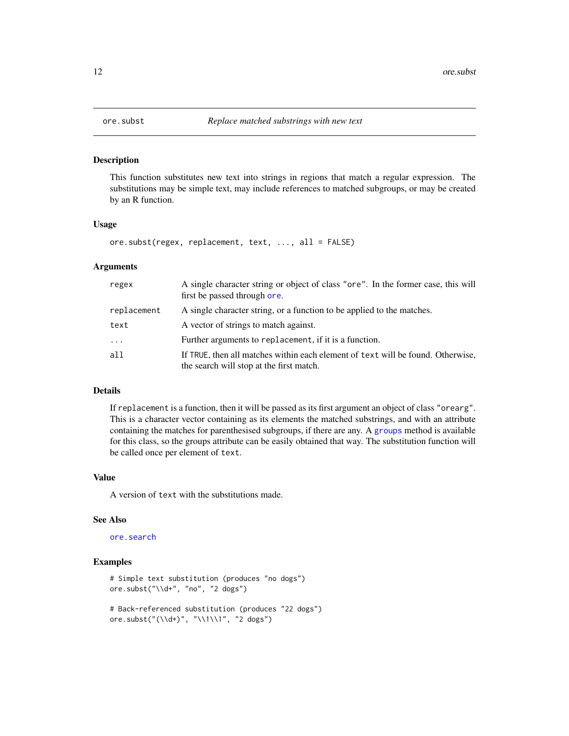<span id="page-11-1"></span><span id="page-11-0"></span>

#### Description

This function substitutes new text into strings in regions that match a regular expression. The substitutions may be simple text, may include references to matched subgroups, or may be created by an R function.

## Usage

```
ore.subst(regex, replacement, text, ..., all = FALSE)
```
#### Arguments

| regex       | A single character string or object of class "ore". In the former case, this will<br>first be passed through ore.           |
|-------------|-----------------------------------------------------------------------------------------------------------------------------|
| replacement | A single character string, or a function to be applied to the matches.                                                      |
| text        | A vector of strings to match against.                                                                                       |
| $\ddots$ .  | Further arguments to replacement, if it is a function.                                                                      |
| all         | If TRUE, then all matches within each element of text will be found. Otherwise,<br>the search will stop at the first match. |

# Details

If replacement is a function, then it will be passed as its first argument an object of class "orearg". This is a character vector containing as its elements the matched substrings, and with an attribute containing the matches for parenthesised subgroups, if there are any. A [groups](#page-2-2) method is available for this class, so the groups attribute can be easily obtained that way. The substitution function will be called once per element of text.

# Value

A version of text with the substitutions made.

#### See Also

# [ore.search](#page-8-1)

#### Examples

```
# Simple text substitution (produces "no dogs")
ore.subst("\\d+", "no", "2 dogs")
# Back-referenced substitution (produces "22 dogs")
ore.subst("(\\d+)", "\\1\\1", "2 dogs")
```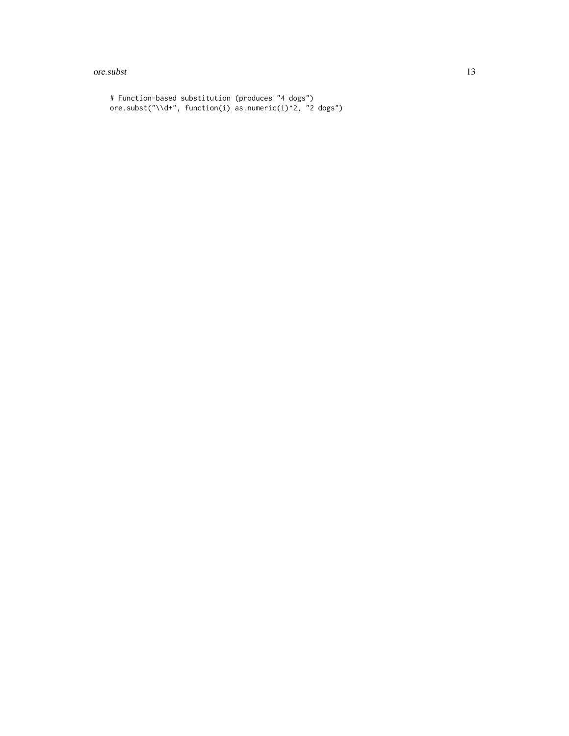#### ore.subst 13

```
# Function-based substitution (produces "4 dogs")
ore.subst("\\d+", function(i) as.numeric(i)^2, "2 dogs")
```